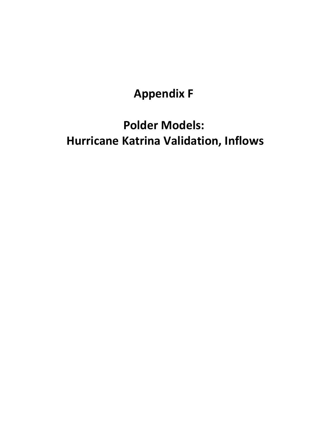## **Appendix F**

# **Polder Models: Hurricane Katrina Validation, Inflows**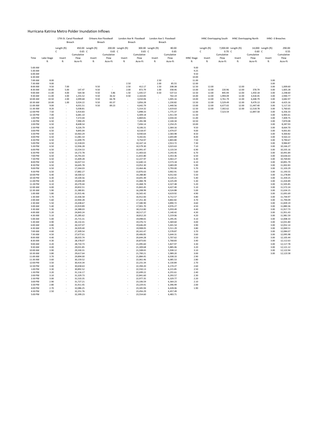#### Hurricana Katrina Metro Polder Inundation Inflows

|                      |               | 17th St. Canal Floodwall<br>Breach |                        | Orleans Ave Floodwall<br>Breach |                | London Ave N Floodwall<br>Breach |                        | London Ave S Floodwall<br>Breach |                      |                   | <b>IHNC Overtopping South</b> |                      | <b>IHNC Overtopping North</b> |                       | IHNC--3 Breaches   |                        |
|----------------------|---------------|------------------------------------|------------------------|---------------------------------|----------------|----------------------------------|------------------------|----------------------------------|----------------------|-------------------|-------------------------------|----------------------|-------------------------------|-----------------------|--------------------|------------------------|
|                      |               | Length (ft)                        |                        | 450.00 Length (ft)              |                | 200.00 Length (ft)               |                        | 300.00 Length (ft)               | 80.00                |                   | Length (ft)                   |                      | 7,000.00 Length (ft)          |                       | 14,000 Length (ft) | 290.00                 |
|                      |               | с                                  | $0.65\quad$ C          |                                 | $0.65\quad$ C  |                                  | 0.65 C                 |                                  | 0.65                 |                   | c                             | $0.70\text{ C}$      |                               | $0.60\mathrm{C}$      |                    | 0.55                   |
|                      |               |                                    | Cumulative             |                                 | Cumulative     |                                  | Cumulative             |                                  | Cumulative           |                   |                               | Cumulative           |                               | Cumulative            |                    | Cumulative             |
| Time                 | Lake Stage    | Invert                             | Flow                   | Invert                          | Flow           | Invert                           | Flow                   | Invert                           | Flow                 | <b>IHNC Stage</b> | Invert                        | Flow                 | Invert                        | Flow                  | Invert             | Flow                   |
|                      | ft            | ft                                 | Acre-Ft                | ft                              | Acre-Ft        | ft                               | Acre-Ft                | ft                               | Acre-Ft              | ft                | ft                            | Acre-Ft              | ft                            | Acre-Ft               | ft                 | Acre-Ft                |
| 5:00 AM              |               |                                    |                        |                                 |                |                                  |                        |                                  |                      | 9.00              |                               |                      |                               |                       |                    |                        |
| 5:30 AM              |               |                                    |                        |                                 |                |                                  |                        |                                  |                      | 9.25              |                               |                      |                               |                       |                    |                        |
| 6:00 AM<br>6:30 AM   |               |                                    |                        |                                 |                |                                  |                        |                                  |                      | 9.50<br>10.00     |                               |                      |                               |                       |                    |                        |
| 7:00 AM              | 8.00          |                                    |                        |                                 |                |                                  |                        | 2.50                             |                      | 11.00             |                               |                      |                               |                       | 3.00               |                        |
| 7:30 AM              | 9.00          |                                    |                        |                                 |                | 2.50                             |                        | 2.00                             | 85.55                | 12.00             |                               |                      |                               |                       | 3.00               |                        |
| 8:00 AM<br>8:30 AM   | 9.50<br>10.00 | 7.00<br>5.00                       | 147.47                 | 9.50<br>9.50                    |                | 2.50<br>2.00                     | 412.17<br>872.79       | 1.50<br>1.00                     | 208.38<br>358.46     | 12.50<br>13.00    | 12.00<br>12.00                | 220.96               | 12.00<br>12.00                | 378.79                | 3.00<br>3.00       | 1,009.60<br>1,605.28   |
| 9:00 AM              | 11.00         | 4.00                               | 564.58                 | 9.50                            | 5.86           | 1.50                             | 1,435.57               | 0.50                             | 537.53               | 13.50             | 12.00                         | 845.94               | 12.00                         | 1.450.18              | 3.00               | 2,248.60               |
| 9:30 AM              | 11.00         | 3.00                               | 1,255.52               | 9.50                            | 36.32          | 0.50                             | 2,163.83               |                                  | 763.19               | 14.00             | 12.00                         | 1.994.09             | 12.00                         | 3.418.45              | 3.00               | 2,940.77               |
| 10:00 AM             | 10.50         | 2.00                               | 2,099.68               | 9.50                            | 66.78          | ×,                               | 3,010.06               | ä,                               | 1,005.16             | 14.00<br>13.50    | 12.00                         | 3,761.79             | 12.00                         | 6,448.79              | 3.00               | 3,682.97               |
| 10:30 AM<br>11:00 AM | 10.00<br>9.00 | 1.00                               | 3,024.22<br>4,031.51   | 9.50<br>9.50                    | 83.37<br>89.23 |                                  | 3,856.28<br>4,642.79   | ×,                               | 1,230.82<br>1,440.56 | 13.00             | 12.00<br>12.00                | 5,529.49<br>6,677.65 | 12.00<br>12.00                | 9,479.13<br>11,447.40 | 3.00<br>3.00       | 4,425.16<br>5,117.33   |
| 11:30 AM             | 8.20          |                                    | 5,038.81               |                                 |                | ł.                               | 5,314.32               |                                  | 1,619.63             | 12.50             | 12.00                         | 7,302.62             | 12.00                         | 12,518.78             | 3.00               | 5,760.65               |
| 12:00 PM             | 7.50          | ä,                                 | 5.914.83               |                                 |                |                                  | 5.898.33               |                                  | 1,775.37             | 12.00             |                               | 7,523.59             |                               | 12,897.58             | 3.00               | 6.356.33               |
| 12:30 PM             | 7.00          | ×                                  | 6,681.10               |                                 |                |                                  | 6,409.18               |                                  | 1,911.59             | 11.50             |                               |                      |                               |                       | 3.00               | 6,905.61               |
| 1:00 PM<br>1:30 PM   | 6.50<br>6.50  |                                    | 7,372.04<br>7.990.29   |                                 |                |                                  | 6,869.81<br>7.281.98   |                                  | 2,034.43<br>2.144.34 | 11.00<br>10.50    |                               |                      |                               |                       | 3.00<br>3.00       | 7,409.75<br>7,870.08   |
| 2:00 PM              | 6.50          |                                    | 8,608.54               |                                 |                |                                  | 7,694.14               |                                  | 2,254.25             | 10.00             |                               |                      |                               |                       | 3.00               | 8,287.93               |
| 2:30 PM              | 6.50          | ×.                                 | 9,226.79               |                                 |                | ×                                | 8,106.31               | ×.                               | 2,364.16             | 9.50              |                               |                      |                               |                       | 3.00               | 8,664.70               |
| 3:00 PM<br>3:30 PM   | 6.50          | ä,<br>ł,                           | 9.845.04               |                                 |                |                                  | 8.518.47<br>8.930.64   |                                  | 2.474.07<br>2,583.98 | 9.00              |                               |                      |                               |                       | 3.00               | 9,001.83<br>9,300.82   |
| 4:00 PM              | 6.50<br>6.50  | ×,                                 | 10,463.29<br>11,081.54 |                                 |                |                                  | 9,342.81               |                                  | 2,693.89             | 8.50<br>8.00      |                               |                      |                               |                       | 3.00<br>3.00       | 9,563.22               |
| 4:30 PM              | 6.50          |                                    | 11,699.79              |                                 |                |                                  | 9.754.97               |                                  | 2,803.80             | 7.50              |                               |                      |                               |                       | 3.00               | 9,790.67               |
| 5:00 PM              | 6.50          | ł,                                 | 12,318.03              |                                 |                |                                  | 10,167.14              |                                  | 2,913.72             | 7.30              |                               |                      |                               |                       | 3.00               | 9,984.87               |
| 5:30 PM<br>6:00 PM   | 6.50<br>6.50  | ٠<br>J.                            | 12.936.28<br>13,554.53 |                                 |                |                                  | 10.579.30<br>10,991.47 |                                  | 3,023.63<br>3,133.54 | 7.10<br>6.90      |                               |                      |                               |                       | 3.00<br>3.00       | 10.166.27<br>10,335.16 |
| 6:30 PM              | 6.50          | ×,                                 | 14,172.78              |                                 |                |                                  | 11,403.63              |                                  | 3,243.45             | 6.70              |                               |                      |                               |                       | 3.00               | 10,491.84              |
| 7:00 PM              | 6.50          | ł.                                 | 14,791.03              |                                 |                |                                  | 11,815.80              |                                  | 3,353.36             | 6.50              |                               |                      |                               |                       | 3.00               | 10,636.63              |
| 7:30 PM              | 6.50          |                                    | 15,409.28              |                                 |                |                                  | 12,227.97              |                                  | 3,463.27             | 6.30              |                               |                      |                               |                       | 3.00               | 10,769.83              |
| 8:00 PM<br>8:30 PM   | 6.50<br>6.50  | ×<br>×,                            | 16,027.53<br>16.645.78 |                                 |                | J.<br>J.                         | 12,640.13<br>13.052.30 | ä,<br>×,                         | 3,573.18<br>3.683.09 | 6.10<br>5.90      |                               |                      |                               |                       | 3.00<br>3.00       | 10,891.79<br>11.002.83 |
| 9:00 PM              | 6.50          |                                    | 17,264.03              |                                 |                |                                  | 13,464.46              |                                  | 3,793.00             | 5.70              |                               |                      |                               |                       | 3.00               | 11,103.29              |
| 9:30 PM              | 6.50          | ×                                  | 17,882.27              |                                 |                | J.                               | 13,876.63              |                                  | 3,902.91             | 5.60              |                               |                      |                               |                       | 3.00               | 11,193.55              |
| 10:00 PM             | 6.40          | ×,                                 | 18.500.52              |                                 |                |                                  | 14.288.80              |                                  | 4,012.82             | 5.50              |                               |                      |                               |                       | 3.00               | 11,278.84              |
| 10:30 PM<br>11:00 PM | 6.30<br>6.20  | ×.                                 | 19,104.56<br>19,694.49 |                                 |                |                                  | 14,691.49<br>15,084.78 |                                  | 4.120.21<br>4,225.09 | 5.40<br>5.30      |                               |                      |                               |                       | 3.00<br>3.00       | 11,359.25<br>11,434.89 |
| 11:30 PM             | 6.10          | ×.                                 | 20.270.44              |                                 |                |                                  | 15.468.74              |                                  | 4.327.48             | 5.20              |                               |                      |                               |                       | 3.00               | 11,505.85              |
| 12:00 AM             | 6.00          | i,                                 | 20,832.51              |                                 |                |                                  | 15,843.45              |                                  | 4,427.40             | 5.10              |                               |                      |                               |                       | 3.00               | 11,572.24              |
| 12:30 AM<br>1:00 AM  | 5.90<br>5.80  | ×,                                 | 21,380.81<br>21,915.46 |                                 |                |                                  | 16,208.99<br>16.565.42 |                                  | 4,524.88<br>4,619.92 | 5.00<br>4.90      |                               |                      |                               |                       | 3.00<br>3.00       | 11,634.15<br>11,691.69 |
| 1:30 AM              | 5.70          | ä,                                 | 22,436.58              |                                 |                |                                  | 16,912.83              |                                  | 4,712.57             | 4.80              |                               |                      |                               |                       | 3.00               | 11,744.97              |
| 2:00 AM              | 5.60          | ä,                                 | 22.944.28              |                                 |                |                                  | 17,251.30              |                                  | 4.802.82             | 4.70              |                               |                      |                               |                       | 3.00               | 11,794.09              |
| 2:30 AM              | 5.50          | ×,                                 | 23,438.67              |                                 |                |                                  | 17,580.90              |                                  | 4,890.72             | 4.60              |                               |                      |                               |                       | 3.00               | 11,839.19              |
| 3:00 AM<br>3:30 AM   | 5.40<br>5.30  | ٠<br>×                             | 23,919.89<br>24.388.03 |                                 |                | ×,                               | 17,901.70<br>18.213.80 |                                  | 4,976.27<br>5,059.49 | 4.50<br>4.40      |                               |                      |                               |                       | 3.00<br>3.00       | 11,880.36<br>11,917.73 |
| 4:00 AM              | 5.20          |                                    | 24,843.24              |                                 |                |                                  | 18,517.27              |                                  | 5,140.42             | 4.30              |                               |                      |                               |                       | 3.00               | 11,951.43              |
| 4:30 AM              | 5.10          | ×.                                 | 25,285.62              |                                 |                |                                  | 18,812.20              |                                  | 5,219.06             | 4.20              |                               |                      |                               |                       | 3.00               | 11,981.59              |
| 5:00 AM              | 5.00          | ä,                                 | 25,715.31              |                                 |                |                                  | 19,098.65              |                                  | 5.295.45             | 4.10              |                               |                      |                               |                       | 3.00               | 12.008.33              |
| 5:30 AM<br>6:00 AM   | 4.90<br>4.80  | ł,<br>×,                           | 26,132.41<br>26,537.07 |                                 |                |                                  | 19,376.72<br>19,646.49 |                                  | 5,369.60<br>5,441.54 | 4.00<br>3.90      |                               |                      |                               |                       | 3.00<br>3.00       | 12,031.80<br>12,052.14 |
| 6:30 AM              | 4.70          |                                    | 26,929.40              |                                 |                |                                  | 19,908.05              |                                  | 5,511.29             | 3.80              |                               |                      |                               |                       | 3.00               | 12,069.51              |
| 7:00 AM              | 4.60          | ×,                                 | 27,309.54              |                                 |                |                                  | 20,161.47              |                                  | 5,578.87             | 3.70              |                               |                      |                               |                       | 3.00               | 12,084.07              |
| 7:30 AM              | 4.50          | ٠                                  | 27.677.61              |                                 |                |                                  | 20.406.85              |                                  | 5,644.31             | 3.60              |                               |                      |                               |                       | 3.00               | 12,095.98              |
| 8:00 AM<br>8:30 AM   | 4.40<br>4.30  | ä,<br>×,                           | 28,033.74<br>28,378.07 |                                 |                |                                  | 20,644.28<br>20,873.83 |                                  | 5,707.62<br>5,768.83 | 3.50<br>3.40      |                               |                      |                               |                       | 3.00<br>3.00       | 12,105.44<br>12,112.63 |
| 9:00 AM              | 4.20          | ÷.                                 | 28,710.73              |                                 |                | ×                                | 21,095.60              |                                  | 5,827.97             | 3.30              |                               |                      |                               |                       | 3.00               | 12,117.78              |
| 9:30 AM              | 4.00          |                                    | 29,031.85              |                                 |                |                                  | 21,309.68              |                                  | 5,885.06             | 3.20              |                               |                      |                               |                       | 3.00               | 12,121.12              |
| 10:00 AM             | 3.90<br>3.80  | ÷                                  | 29,330.31              |                                 |                |                                  | 21,508.65              |                                  | 5,938.12             | 3.10              |                               |                      |                               |                       | 3.00               | 12,122.94              |
| 10:30 AM<br>11:00 AM | 3.70          | ä,                                 | 29.617.64<br>29,894.00 |                                 |                |                                  | 21,700.21<br>21,884.45 |                                  | 5,989.20<br>6,038.33 | 3.00<br>2.90      |                               |                      |                               |                       | 3.00               | 12,123.58              |
| 11:30 AM             | 3.60          | ×,                                 | 30,159.52              |                                 |                |                                  | 22,061.46              |                                  | 6,085.53             | 2.80              |                               |                      |                               |                       |                    |                        |
| 12:00 PM             | 3.50          | ٠                                  | 30.414.34              |                                 |                |                                  | 22.231.34              |                                  | 6.130.84             | 2.70              |                               |                      |                               |                       |                    |                        |
| 12:30 PM             | 3.40          | J.<br>÷.                           | 30,658.63              |                                 |                | ×                                | 22,394.20              | ×,                               | 6,174.27             | 2.60<br>2.50      |                               |                      |                               |                       |                    |                        |
| 1:00 PM<br>1:30 PM   | 3.30<br>3.20  | ä,                                 | 30.892.52<br>31.116.17 |                                 |                |                                  | 22,550.13<br>22.699.22 |                                  | 6,215.85<br>6.255.61 | 2.40              |                               |                      |                               |                       |                    |                        |
| 2:00 PM              | 3.10          | ×,                                 | 31,329.73              |                                 |                |                                  | 22,841.60              |                                  | 6,293.57             | 2.30              |                               |                      |                               |                       |                    |                        |
| 2:30 PM              | 3.00          | ×,                                 | 31,533.35              |                                 |                |                                  | 22,977.35              |                                  | 6,329.77             | 2.20              |                               |                      |                               |                       |                    |                        |
| 3:00 PM<br>3:30 PM   | 2.90<br>2.80  |                                    | 31.727.21<br>31,911.45 |                                 |                |                                  | 23.106.59<br>23,229.41 |                                  | 6.364.23<br>6,396.99 | 2.10<br>2.00      |                               |                      |                               |                       |                    |                        |
| 4:00 PM              | 2.70          | ×,                                 | 32.086.25              |                                 |                |                                  | 23.345.94              |                                  | 6.428.06             | 1.90              |                               |                      |                               |                       |                    |                        |
| 4:30 PM              | 2.50          |                                    | 32,251.76              |                                 |                |                                  | 23,456.29              |                                  | 6,457.49             |                   |                               |                      |                               |                       |                    |                        |
| 5:00 PM              |               |                                    | 32,399.23              |                                 |                |                                  | 23,554.60              |                                  | 6,483.71             |                   |                               |                      |                               |                       |                    |                        |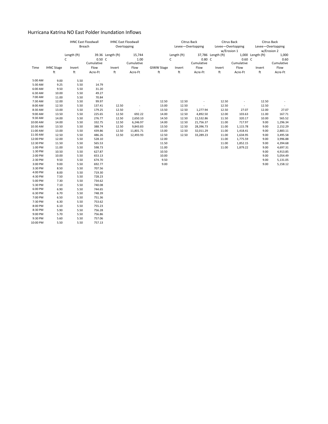### Hurricana Katrina NO East Polder Inundation Inflows

|          |                   | <b>IHNC East Floodwall</b> |                          | <b>IHNC East Floodwall</b> |                          |                   | Citrus Back       |            |                    | Citrus Back              | Citrus Back       |             |  |
|----------|-------------------|----------------------------|--------------------------|----------------------------|--------------------------|-------------------|-------------------|------------|--------------------|--------------------------|-------------------|-------------|--|
|          |                   | Breach                     |                          |                            | Overtopping              |                   | Levee-Overtopping |            |                    | Levee-Overtopping        | Levee-Overtopping |             |  |
|          |                   |                            |                          |                            |                          |                   |                   |            | w/Erosion 1        |                          |                   | w/Erosion 2 |  |
|          |                   | Length (ft)                |                          | 39.36 Length (ft)          | 15,744                   |                   | Length (ft)       |            | 37,786 Length (ft) |                          | 1,000 Length (ft) | 1,000       |  |
|          |                   | C                          | $0.50\text{ C}$          |                            | 1.00                     |                   | C                 | 0.80 C     |                    | 0.60 C                   |                   | 0.60        |  |
|          |                   |                            | Cumulative               |                            | Cumulative               |                   |                   | Cumulative |                    | Cumulative               |                   | Cumulative  |  |
| Time     | <b>IHNC Stage</b> | Invert                     | Flow                     | Invert                     | Flow                     | <b>GIWW Stage</b> | Invert            | Flow       | Invert             | Flow                     | Invert            | Flow        |  |
|          | ft                | ft                         | Acre-Ft                  | ft                         | Acre-Ft                  | ft                | ft                | Acre-Ft    | ft                 | Acre-Ft                  | ft                | Acre-Ft     |  |
| 5:00 AM  | 9.00              | 5.50                       | $\overline{\phantom{a}}$ |                            |                          |                   |                   |            |                    |                          |                   |             |  |
| 5:30 AM  | 9.25              | 5.50                       | 14.79                    |                            |                          |                   |                   |            |                    |                          |                   |             |  |
| 6:00 AM  | 9.50              | 5.50                       | 31.20                    |                            |                          |                   |                   |            |                    |                          |                   |             |  |
| 6:30 AM  | 10.00             | 5.50                       | 49.27                    |                            |                          |                   |                   |            |                    |                          |                   |             |  |
| 7:00 AM  | 11.00             | 5.50                       | 70.84                    |                            |                          |                   |                   |            |                    |                          |                   |             |  |
| 7:30 AM  | 12.00             | 5.50                       | 99.97                    |                            |                          | 12.50             | 12.50             |            | 12.50              |                          | 12.50             |             |  |
| 8:00 AM  | 12.50             | 5.50                       | 137.41                   | 12.50                      | ÷                        | 13.00             | 12.50             | $\sim$     | 12.50              | $\overline{\phantom{a}}$ | 12.50             | $\sim$      |  |
| 8:30 AM  | 13.00             | 5.50                       | 179.25                   | 12.50                      | $\overline{\phantom{a}}$ | 13.50             | 12.50             | 1,277.94   | 12.50              | 27.07                    | 12.00             | 27.07       |  |
| 9:00 AM  | 13.50             | 5.50                       | 225.65                   | 12.50                      | 692.22                   | 14.00             | 12.50             | 4,892.50   | 12.00              | 103.63                   | 11.00             | 167.71      |  |
| 9:30 AM  | 14.00             | 5.50                       | 276.77                   | 12.50                      | 2,650.10                 | 14.50             | 12.50             | 11,532.86  | 11.50              | 320.17                   | 10.00             | 565.52      |  |
| 10:00 AM | 14.00             | 5.50                       | 332.75                   | 12.50                      | 6,246.97                 | 14.00             | 12.50             | 21,756.37  | 11.00              | 717.97                   | 9.00              | 1,296.34    |  |
| 10:30 AM | 13.50             | 5.50                       | 388.74                   | 12.50                      | 9,843.83                 | 13.50             | 12.50             | 28,396.73  | 11.00              | 1,115.78                 | 9.00              | 2,152.29    |  |
| 11:00 AM | 13.00             | 5.50                       | 439.86                   | 12.50                      | 11,801.71                | 13.00             | 12.50             | 32,011.29  | 11.00              | 1,418.41                 | 9.00              | 2,883.11    |  |
| 11:30 AM | 12.50             | 5.50                       | 486.26                   | 12.50                      | 12,493.93                | 12.50             | 12.50             | 33,289.23  | 11.00              | 1,634.95                 | 9.00              | 3,495.58    |  |
| 12:00 PM | 12.00             | 5.50                       | 528.10                   |                            |                          | 12.00             |                   |            | 11.00              | 1,775.59                 | 9.00              | 3,996.88    |  |
| 12:30 PM | 11.50             | 5.50                       | 565.53                   |                            |                          | 11.50             |                   |            | 11.00              | 1,852.15                 | 9.00              | 4,394.68    |  |
| 1:00 PM  | 11.00             | 5.50                       | 598.73                   |                            |                          | 11.00             |                   |            | 11.00              | 1,879.22                 | 9.00              | 4,697.31    |  |
| 1:30 PM  | 10.50             | 5.50                       | 627.87                   |                            |                          | 10.50             |                   |            |                    |                          | 9.00              | 4,913.85    |  |
| 2:00 PM  | 10.00             | 5.50                       | 653.13                   |                            |                          | 10.00             |                   |            |                    |                          | 9.00              | 5,054.49    |  |
| 2:30 PM  | 9.50              | 5.50                       | 674.70                   |                            |                          | 9.50              |                   |            |                    |                          | 9.00              | 5,131.05    |  |
| 3:00 PM  | 9.00              | 5.50                       | 692.77                   |                            |                          | 9.00              |                   |            |                    |                          | 9.00              | 5,158.12    |  |
| 3:30 PM  | 8.50              | 5.50                       | 707.56                   |                            |                          |                   |                   |            |                    |                          |                   |             |  |
| 4:00 PM  | 8.00              | 5.50                       | 719.30                   |                            |                          |                   |                   |            |                    |                          |                   |             |  |
| 4:30 PM  | 7.50              | 5.50                       | 728.23                   |                            |                          |                   |                   |            |                    |                          |                   |             |  |
| 5:00 PM  | 7.30              | 5.50                       | 734.62                   |                            |                          |                   |                   |            |                    |                          |                   |             |  |
| 5:30 PM  | 7.10              | 5.50                       | 740.08                   |                            |                          |                   |                   |            |                    |                          |                   |             |  |
| 6:00 PM  | 6.90              | 5.50                       | 744.65                   |                            |                          |                   |                   |            |                    |                          |                   |             |  |
| 6:30 PM  | 6.70              | 5.50                       | 748.39                   |                            |                          |                   |                   |            |                    |                          |                   |             |  |
| 7:00 PM  | 6.50              | 5.50                       | 751.36                   |                            |                          |                   |                   |            |                    |                          |                   |             |  |
| 7:30 PM  | 6.30              | 5.50                       | 753.62                   |                            |                          |                   |                   |            |                    |                          |                   |             |  |
| 8:00 PM  | 6.10              | 5.50                       | 755.23                   |                            |                          |                   |                   |            |                    |                          |                   |             |  |
| 8:30 PM  | 5.90              | 5.50                       | 756.28                   |                            |                          |                   |                   |            |                    |                          |                   |             |  |
| 9:00 PM  | 5.70              | 5.50                       | 756.86                   |                            |                          |                   |                   |            |                    |                          |                   |             |  |
| 9:30 PM  | 5.60              | 5.50                       | 757.06                   |                            |                          |                   |                   |            |                    |                          |                   |             |  |
| 10:00 PM | 5.50              | 5.50                       | 757.13                   |                            |                          |                   |                   |            |                    |                          |                   |             |  |